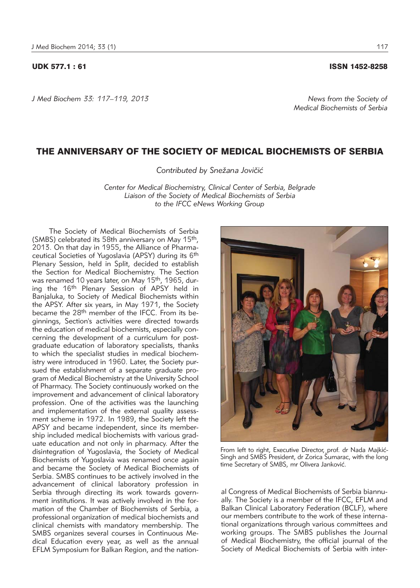## UDK 577.1 : 61 ISSN 1452-8258

*J Med Biochem 33: 117–119, 2013 News from the Society of* 

## THE ANNIVERSARY OF THE SOCIETY OF MEDICAL BIOCHEMISTS OF SERBIA

Contributed by Snežana Jovičić

*Center for Medical Biochemistry, Clinical Center of Serbia, Belgrade Liaison of the Society of Medical Biochemists of Serbia to the IFCC eNews Working Group*

The Society of Medical Biochemists of Serbia (SMBS) celebrated its 58th anniversary on May 15th, 2013. On that day in 1955, the Alliance of Pharmaceutical Societies of Yugoslavia (APSY) during its 6th Plenary Session, held in Split, decided to establish the Section for Medical Biochemistry. The Section was renamed 10 years later, on May 15<sup>th</sup>, 1965, during the 16<sup>th</sup> Plenary Session of APSY held in Banjaluka, to Society of Medical Biochemists within the APSY. After six years, in May 1971, the Society became the 28<sup>th</sup> member of the IFCC. From its beginnings, Section's activities were directed towards the education of medical biochemists, especially concerning the development of a curriculum for postgraduate education of laboratory specialists, thanks to which the specialist studies in medical biochemistry were introduced in 1960. Later, the Society pursued the establishment of a separate graduate program of Medical Biochemistry at the University School of Pharmacy. The Society continuously worked on the improvement and advancement of clinical laboratory profession. One of the activities was the launching and implementation of the external quality assessment scheme in 1972. In 1989, the Society left the APSY and became independent, since its membership included medical biochemists with various graduate education and not only in pharmacy. After the disintegration of Yugoslavia, the Society of Medical Biochemists of Yugoslavia was renamed once again and became the Society of Medical Biochemists of Serbia. SMBS continues to be actively involved in the advan cement of clinical laboratory profession in Serbia through directing its work towards government institutions. It was actively involved in the formation of the Chamber of Biochemists of Serbia, a professional organization of medical biochemists and clinical chemists with mandatory membership. The SMBS organizes several courses in Continuous Medical Education every year, as well as the annual EFLM Symposium for Balkan Region, and the nation-

al Congress of Medical Biochemists of Serbia biannually. The Society is a member of the IFCC, EFLM and Balkan Clinical Laboratory Federation (BCLF), where From left to right, Executive Director, prof. dr Nada Majkić-Singh and SMBS President, dr Zorica Sumarac, with the long time Secretary of SMBS, mr Olivera Janković.

our members contribute to the work of these international organizations through various committees and working groups. The SMBS publishes the Journal of Medical Biochemistry, the official journal of the Society of Medical Biochemists of Serbia with inter-



*Medical Biochemists of Serbia*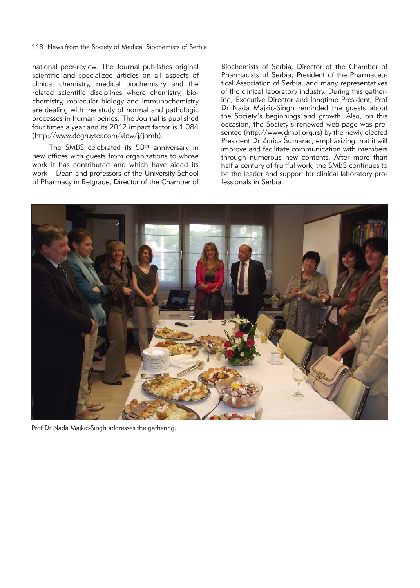national peer-review. The Journal publishes original scientific and specialized articles on all aspects of clinical chemistry, medical biochemistry and the related scientific disciplines where chemistry, biochemistry, molecular biology and immunochemistry are dealing with the study of normal and pathologic processes in human beings. The Journal is published four times a year and its 2012 impact factor is 1.084 (http://www.degruyter.com/view/j/jomb).

The SMBS celebrated its 58<sup>th</sup> anniversary in new offices with guests from organizations to whose work it has contributed and which have aided its work – Dean and professors of the University School of Pharmacy in Belgrade, Director of the Chamber of

Biochemists of Serbia, Director of the Chamber of Pharmacists of Serbia, President of the Pharmaceutical Association of Serbia, and many representatives of the clinical laboratory industry. During this gathering, Executive Director and longtime President, Prof Dr Nada Majkić-Singh reminded the guests about the Society's beginnings and growth. Also, on this occasion, the Society's renewed web page was presented (http://www.dmbj.org.rs) by the newly elected President Dr Zorica Šumarac, emphasizing that it will improve and facilitate communication with members through numerous new contents. After more than half a century of fruitful work, the SMBS continues to be the leader and support for clinical laboratory professionals in Serbia.



Prof Dr Nada Majkić-Singh addresses the gathering.